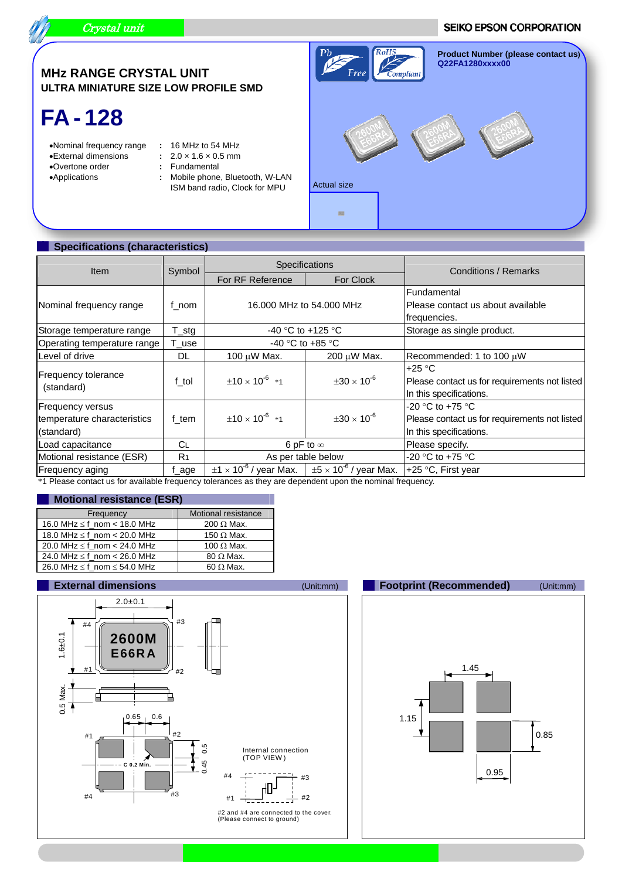

#### **SEIKO EPSON CORPORATION**



# **FA - 128**

- Nominal frequency range **:** 16 MHz to 54 MHz
	-
- 
- 
- $\therefore$  2.0  $\times$  1.6  $\times$  0.5 mm
- 
- Overtone order **:** Fundamental : Mobile phone, Bluetooth, W-LAN **:** ISM band radio, Clock for MPU



### **Specifications (characteristics)**

| <b>Item</b>                              | Symbol         | Specifications             |                                                                               | Conditions / Remarks                                                                 |
|------------------------------------------|----------------|----------------------------|-------------------------------------------------------------------------------|--------------------------------------------------------------------------------------|
|                                          |                | For RF Reference           | For Clock                                                                     |                                                                                      |
|                                          |                |                            |                                                                               | <b>Fundamental</b>                                                                   |
| Nominal frequency range                  | f nom          | 16,000 MHz to 54,000 MHz   |                                                                               | Please contact us about available                                                    |
|                                          |                |                            |                                                                               | frequencies.                                                                         |
| Storage temperature range                | $T_{est}$      | -40 °C to +125 °C          |                                                                               | Storage as single product.                                                           |
| Operating temperature range              | T_use          | -40 °C to +85 °C           |                                                                               |                                                                                      |
| Level of drive                           | DL             | 100 $\mu$ W Max.           | $200 \mu W$ Max.                                                              | Recommended: 1 to 100 $\mu$ W                                                        |
| <b>Frequency tolerance</b><br>(standard) | f tol          | $\pm 10 \times 10^{-6}$ *1 | $\pm 30 \times 10^{-6}$                                                       | $+25 °C$<br>Please contact us for requirements not listed<br>In this specifications. |
| <b>Frequency versus</b>                  |                |                            |                                                                               | $-20$ °C to $+75$ °C                                                                 |
| temperature characteristics              | f tem          | $\pm 10 \times 10^{-6}$ *1 | $\pm 30 \times 10^{-6}$                                                       | Please contact us for requirements not listed                                        |
| (standard)                               |                |                            |                                                                               | In this specifications.                                                              |
| Load capacitance                         | <b>CL</b>      | 6 pF to $\infty$           |                                                                               | Please specify.                                                                      |
| Motional resistance (ESR)                | R <sub>1</sub> | As per table below         |                                                                               | -20 °C to +75 °C                                                                     |
| Frequency aging                          | f age          |                            | $\pm$ 1 × 10 <sup>-6</sup> / year Max. $\pm$ 5 × 10 <sup>-6</sup> / year Max. | +25 °C, First year                                                                   |

\*1 Please contact us for available frequency tolerances as they are dependent upon the nominal frequency.

#### **Motional resistance (ESR)**

| Frequency                             | Motional resistance |
|---------------------------------------|---------------------|
| 16.0 MHz $\leq$ f_nom < 18.0 MHz      | 200 $\Omega$ Max.   |
| 18.0 MHz $\leq$ f nom $<$ 20.0 MHz    | 150 $\Omega$ Max.   |
| 20.0 MHz $\leq$ f nom < 24.0 MHz      | 100 $\Omega$ Max.   |
| 24.0 MHz $\leq$ f nom < 26.0 MHz      | $80 \Omega$ Max.    |
| 26.0 MHz $\leq$ f nom $\leq$ 54.0 MHz | 60 $\Omega$ Max.    |